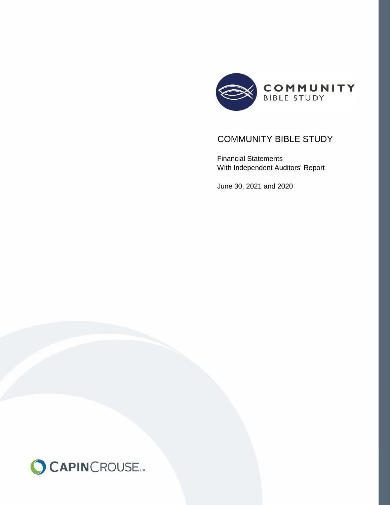

Financial Statements With Independent Auditors' Report

June 30, 2021 and 2020

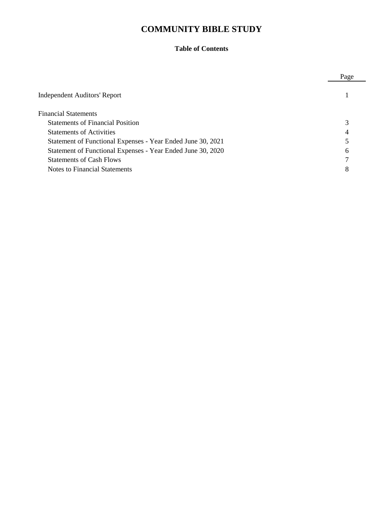### **Table of Contents**

| Independent Auditors' Report<br><b>Financial Statements</b><br><b>Statements of Financial Position</b><br>3<br><b>Statements of Activities</b><br>4<br>Statement of Functional Expenses - Year Ended June 30, 2021<br>Statement of Functional Expenses - Year Ended June 30, 2020<br>6<br><b>Statements of Cash Flows</b><br>Notes to Financial Statements<br>8 | Page |
|-----------------------------------------------------------------------------------------------------------------------------------------------------------------------------------------------------------------------------------------------------------------------------------------------------------------------------------------------------------------|------|
|                                                                                                                                                                                                                                                                                                                                                                 |      |
|                                                                                                                                                                                                                                                                                                                                                                 |      |
|                                                                                                                                                                                                                                                                                                                                                                 |      |
|                                                                                                                                                                                                                                                                                                                                                                 |      |
|                                                                                                                                                                                                                                                                                                                                                                 |      |
|                                                                                                                                                                                                                                                                                                                                                                 |      |
|                                                                                                                                                                                                                                                                                                                                                                 |      |
|                                                                                                                                                                                                                                                                                                                                                                 |      |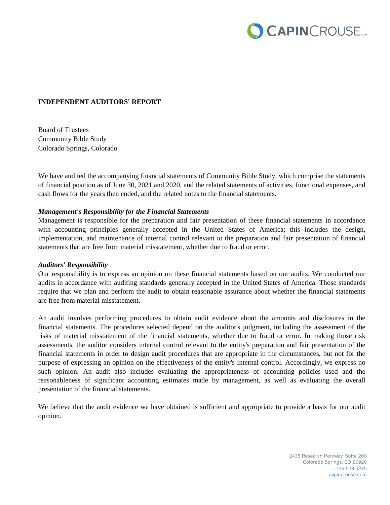

### **INDEPENDENT AUDITORS' REPORT**

Board of Trustees Community Bible Study Colorado Springs, Colorado

We have audited the accompanying financial statements of Community Bible Study, which comprise the statements of financial position as of June 30, 2021 and 2020, and the related statements of activities, functional expenses, and cash flows for the years then ended, and the related notes to the financial statements.

#### *Management's Responsibility for the Financial Statements*

Management is responsible for the preparation and fair presentation of these financial statements in accordance with accounting principles generally accepted in the United States of America; this includes the design, implementation, and maintenance of internal control relevant to the preparation and fair presentation of financial statements that are free from material misstatement, whether due to fraud or error.

#### *Auditors' Responsibility*

Our responsibility is to express an opinion on these financial statements based on our audits. We conducted our audits in accordance with auditing standards generally accepted in the United States of America. Those standards require that we plan and perform the audit to obtain reasonable assurance about whether the financial statements are free from material misstatement.

An audit involves performing procedures to obtain audit evidence about the amounts and disclosures in the financial statements. The procedures selected depend on the auditor's judgment, including the assessment of the risks of material misstatement of the financial statements, whether due to fraud or error. In making those risk assessments, the auditor considers internal control relevant to the entity's preparation and fair presentation of the financial statements in order to design audit procedures that are appropriate in the circumstances, but not for the purpose of expressing an opinion on the effectiveness of the entity's internal control. Accordingly, we express no such opinion. An audit also includes evaluating the appropriateness of accounting policies used and the reasonableness of significant accounting estimates made by management, as well as evaluating the overall presentation of the financial statements.

We believe that the audit evidence we have obtained is sufficient and appropriate to provide a basis for our audit opinion.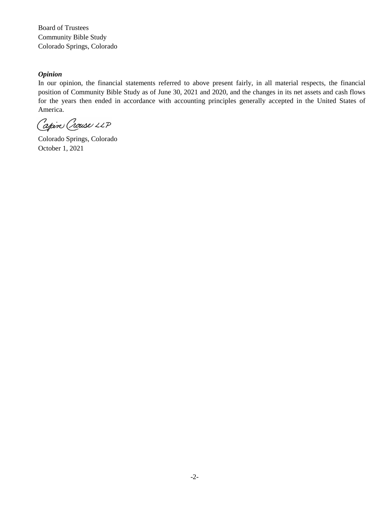Financial reporting. According to the such opinion. An audit also includes the such of Trustees examining, on a test basis, on a test basis, on a test basis, on a test basis, on a test basis, on a test basis, on a test bas Community Bible Study Colorado Springs, Colorado

#### *Opinion*  $\Omega$ inion, the financial statements referred to above present fairly, in all material respects, the financial respects, the financial respects, the financial respects, the financial respects, the financial respects, the f

In our opinion, the financial statements referred to above present fairly, in all material respects, the financial position of Community Bible Study as of June 30, 2021 and 2020, and the changes in its net assets and cash flows for the years then ended in accordance with accounting principles generally accepted in the United States of America.

presentation. We believe our audits provide a reasonable basis for our opinion.

Capin Crouse LLP

Colorado Springs, Colorado October 1, 2021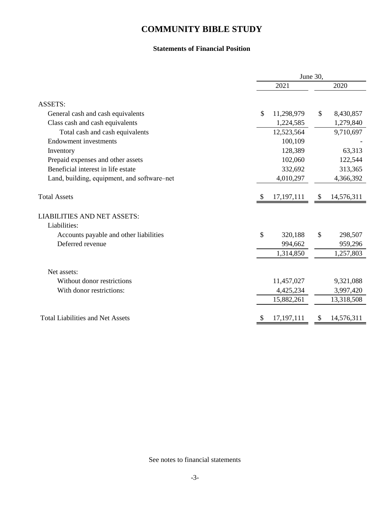### **Statements of Financial Position**

|                                             | June 30, |              |               |            |  |  |  |
|---------------------------------------------|----------|--------------|---------------|------------|--|--|--|
|                                             |          | 2021         |               | 2020       |  |  |  |
| <b>ASSETS:</b>                              |          |              |               |            |  |  |  |
| General cash and cash equivalents           | \$       | 11,298,979   | \$            | 8,430,857  |  |  |  |
| Class cash and cash equivalents             |          | 1,224,585    |               | 1,279,840  |  |  |  |
| Total cash and cash equivalents             |          | 12,523,564   |               | 9,710,697  |  |  |  |
| <b>Endowment investments</b>                |          | 100,109      |               |            |  |  |  |
| Inventory                                   |          | 128,389      |               | 63,313     |  |  |  |
| Prepaid expenses and other assets           |          | 102,060      |               | 122,544    |  |  |  |
| Beneficial interest in life estate          |          | 332,692      |               | 313,365    |  |  |  |
| Land, building, equipment, and software–net |          | 4,010,297    |               | 4,366,392  |  |  |  |
| <b>Total Assets</b>                         | -S       | 17, 197, 111 | $\mathcal{S}$ | 14,576,311 |  |  |  |
| <b>LIABILITIES AND NET ASSETS:</b>          |          |              |               |            |  |  |  |
| Liabilities:                                |          |              |               |            |  |  |  |
| Accounts payable and other liabilities      | \$       | 320,188      | \$            | 298,507    |  |  |  |
| Deferred revenue                            |          | 994,662      |               | 959,296    |  |  |  |
|                                             |          | 1,314,850    |               | 1,257,803  |  |  |  |
| Net assets:                                 |          |              |               |            |  |  |  |
| Without donor restrictions                  |          | 11,457,027   |               | 9,321,088  |  |  |  |
| With donor restrictions:                    |          | 4,425,234    |               | 3,997,420  |  |  |  |
|                                             |          | 15,882,261   |               | 13,318,508 |  |  |  |
|                                             |          |              |               |            |  |  |  |
| <b>Total Liabilities and Net Assets</b>     |          | 17, 197, 111 | S             | 14,576,311 |  |  |  |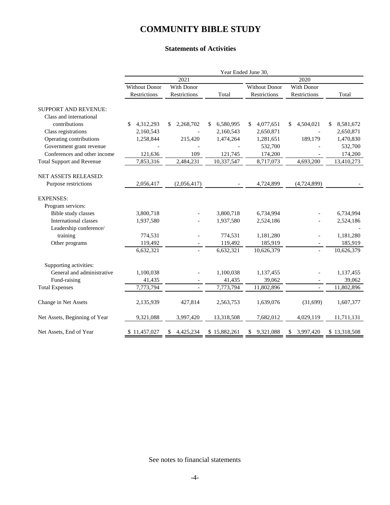### **Statements of Activities**

|                                  | Year Ended June 30, |                 |                 |                 |                 |                 |  |  |  |  |  |
|----------------------------------|---------------------|-----------------|-----------------|-----------------|-----------------|-----------------|--|--|--|--|--|
|                                  |                     | 2021            |                 |                 | 2020            |                 |  |  |  |  |  |
|                                  | Without Donor       | With Donor      |                 | Without Donor   | With Donor      |                 |  |  |  |  |  |
|                                  | Restrictions        | Restrictions    | Total           | Restrictions    | Restrictions    | Total           |  |  |  |  |  |
| <b>SUPPORT AND REVENUE:</b>      |                     |                 |                 |                 |                 |                 |  |  |  |  |  |
| Class and international          |                     |                 |                 |                 |                 |                 |  |  |  |  |  |
| contributions                    | 4,312,293<br>\$     | 2,268,702<br>\$ | 6,580,995<br>\$ | 4,077,651<br>\$ | 4,504,021<br>\$ | 8,581,672<br>\$ |  |  |  |  |  |
| Class registrations              | 2,160,543           |                 | 2,160,543       | 2,650,871       |                 | 2,650,871       |  |  |  |  |  |
| Operating contributions          | 1,258,844           | 215,420         | 1,474,264       | 1,281,651       | 189,179         | 1,470,830       |  |  |  |  |  |
| Government grant revenue         |                     |                 |                 | 532,700         |                 | 532,700         |  |  |  |  |  |
| Conferences and other income     | 121,636             | 109             | 121,745         | 174,200         |                 | 174,200         |  |  |  |  |  |
| <b>Total Support and Revenue</b> | 7,853,316           | 2,484,231       | 10,337,547      | 8,717,073       | 4,693,200       | 13,410,273      |  |  |  |  |  |
|                                  |                     |                 |                 |                 |                 |                 |  |  |  |  |  |
| <b>NET ASSETS RELEASED:</b>      |                     |                 |                 |                 |                 |                 |  |  |  |  |  |
| Purpose restrictions             | 2,056,417           | (2,056,417)     |                 | 4,724,899       | (4,724,899)     |                 |  |  |  |  |  |
| <b>EXPENSES:</b>                 |                     |                 |                 |                 |                 |                 |  |  |  |  |  |
| Program services:                |                     |                 |                 |                 |                 |                 |  |  |  |  |  |
| <b>Bible study classes</b>       | 3,800,718           |                 | 3,800,718       | 6,734,994       |                 | 6,734,994       |  |  |  |  |  |
| <b>International classes</b>     | 1,937,580           |                 | 1,937,580       | 2,524,186       |                 | 2,524,186       |  |  |  |  |  |
| Leadership conference/           |                     |                 |                 |                 |                 |                 |  |  |  |  |  |
| training                         | 774,531             |                 | 774,531         | 1,181,280       |                 | 1,181,280       |  |  |  |  |  |
| Other programs                   | 119,492             |                 | 119,492         | 185,919         |                 | 185,919         |  |  |  |  |  |
|                                  | 6,632,321           |                 | 6,632,321       | 10,626,379      |                 | 10,626,379      |  |  |  |  |  |
| Supporting activities:           |                     |                 |                 |                 |                 |                 |  |  |  |  |  |
| General and administrative       | 1,100,038           |                 | 1,100,038       | 1,137,455       |                 | 1,137,455       |  |  |  |  |  |
| Fund-raising                     | 41,435              |                 | 41,435          | 39,062          |                 | 39,062          |  |  |  |  |  |
| <b>Total Expenses</b>            | 7,773,794           |                 | 7,773,794       | 11,802,896      |                 | 11,802,896      |  |  |  |  |  |
|                                  |                     |                 |                 |                 |                 |                 |  |  |  |  |  |
| Change in Net Assets             | 2,135,939           | 427,814         | 2,563,753       | 1,639,076       | (31,699)        | 1,607,377       |  |  |  |  |  |
| Net Assets, Beginning of Year    | 9,321,088           | 3,997,420       | 13,318,508      | 7,682,012       | 4,029,119       | 11,711,131      |  |  |  |  |  |
| Net Assets, End of Year          | \$11,457,027        | \$4,425,234     | \$15,882,261    | 9,321,088<br>\$ | 3,997,420<br>S  | \$13,318,508    |  |  |  |  |  |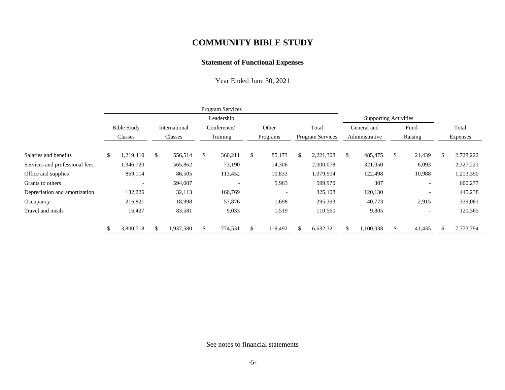### **Statement of Functional Expenses**

Year Ended June 30, 2021

|                                |            |                    |    |               |    | <b>Program Services</b> |                              |         |     |                              |    |                |    |                          |     |           |
|--------------------------------|------------|--------------------|----|---------------|----|-------------------------|------------------------------|---------|-----|------------------------------|----|----------------|----|--------------------------|-----|-----------|
|                                | Leadership |                    |    |               |    |                         |                              |         |     | <b>Supporting Activities</b> |    |                |    |                          |     |           |
|                                |            | <b>Bible Study</b> |    | International |    | Conference/             |                              | Other   |     | Total                        |    | General and    |    | Fund-                    |     | Total     |
|                                | Classes    |                    |    | Classes       |    | Training                | Program Services<br>Programs |         |     |                              |    | Administrative |    | Raising                  |     | Expenses  |
| Salaries and benefits          | \$         | 1,219,410          | \$ | 556,514       | \$ | 360,211                 | \$                           | 85,173  | \$. | 2,221,308                    | \$ | 485,475        | \$ | 21,439                   | \$. | 2,728,222 |
| Services and professional fees |            | 1,346,720          |    | 565,862       |    | 73,190                  |                              | 14,306  |     | 2,000,078                    |    | 321,050        |    | 6,093                    |     | 2,327,221 |
| Office and supplies            |            | 869,114            |    | 86,505        |    | 113,452                 |                              | 10,833  |     | 1,079,904                    |    | 122,498        |    | 10,988                   |     | 1,213,390 |
| Grants to others               |            |                    |    | 594,007       |    |                         |                              | 5,963   |     | 599,970                      |    | 307            |    | $\overline{\phantom{a}}$ |     | 600,277   |
| Depreciation and amortization  |            | 132,226            |    | 32,113        |    | 160,769                 |                              |         |     | 325,108                      |    | 120,130        |    | $\overline{\phantom{a}}$ |     | 445,238   |
| Occupancy                      |            | 216,821            |    | 18,998        |    | 57,876                  |                              | 1,698   |     | 295,393                      |    | 40,773         |    | 2,915                    |     | 339,081   |
| Travel and meals               |            | 16,427             |    | 83,581        |    | 9,033                   |                              | 1,519   |     | 110,560                      |    | 9,805          |    | $\overline{\phantom{a}}$ |     | 120,365   |
|                                |            | 3,800,718          | S  | 1,937,580     |    | 774,531                 |                              | 119,492 | S.  | 6,632,321                    |    | 1,100,038      |    | 41,435                   |     | 7,773,794 |
|                                |            |                    |    |               |    |                         |                              |         |     |                              |    |                |    |                          |     |           |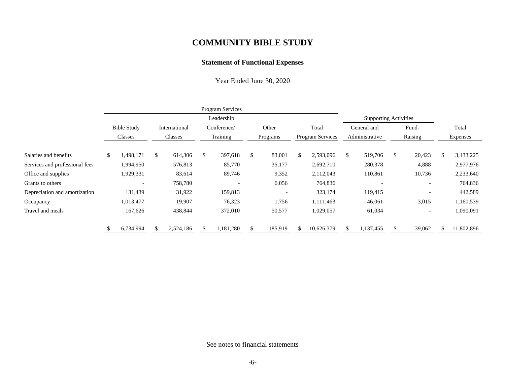### **Statement of Functional Expenses**

Year Ended June 30, 2020

|                                |               |                    |    |               |    | Program Services |     |          |                              |               |                          |               |                          |     |            |
|--------------------------------|---------------|--------------------|----|---------------|----|------------------|-----|----------|------------------------------|---------------|--------------------------|---------------|--------------------------|-----|------------|
|                                | Leadership    |                    |    |               |    |                  |     |          | <b>Supporting Activities</b> |               |                          |               |                          |     |            |
|                                |               | <b>Bible Study</b> |    | International |    | Conference/      |     | Other    | Total                        |               | General and              |               | Fund-                    |     | Total      |
|                                |               | Classes            |    | Classes       |    | Training         |     | Programs | <b>Program Services</b>      |               | Administrative           |               | Raising                  |     | Expenses   |
| Salaries and benefits          | <sup>\$</sup> | 1,498,171          | \$ | 614,306       | \$ | 397,618          | \$. | 83,001   | 2,593,096                    | <sup>\$</sup> | 519,706                  | <sup>\$</sup> | 20,423                   | \$. | 3,133,225  |
| Services and professional fees |               | 1,994,950          |    | 576,813       |    | 85,770           |     | 35,177   | 2,692,710                    |               | 280,378                  |               | 4,888                    |     | 2,977,976  |
| Office and supplies            |               | 1,929,331          |    | 83,614        |    | 89,746           |     | 9,352    | 2,112,043                    |               | 110,861                  |               | 10,736                   |     | 2,233,640  |
| Grants to others               |               |                    |    | 758,780       |    |                  |     | 6,056    | 764,836                      |               | $\overline{\phantom{a}}$ |               | $\overline{\phantom{a}}$ |     | 764,836    |
| Depreciation and amortization  |               | 131,439            |    | 31,922        |    | 159,813          |     |          | 323,174                      |               | 119,415                  |               | $\overline{\phantom{a}}$ |     | 442,589    |
| Occupancy                      |               | 1,013,477          |    | 19,907        |    | 76,323           |     | 1,756    | 1,111,463                    |               | 46,061                   |               | 3,015                    |     | 1,160,539  |
| Travel and meals               |               | 167,626            |    | 438,844       |    | 372,010          |     | 50,577   | 1,029,057                    |               | 61,034                   |               | $\overline{\phantom{a}}$ |     | 1,090,091  |
|                                |               | 6,734,994          |    | 2,524,186     |    | 181,280          |     | 185,919  | 10,626,379                   |               | 1,137,455                |               | 39,062                   |     | 11,802,896 |
|                                |               |                    |    |               |    |                  |     |          |                              |               |                          |               |                          |     |            |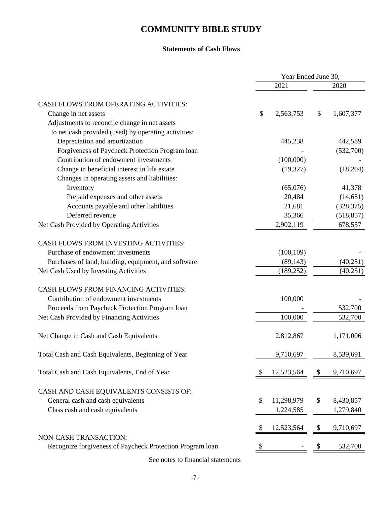### **Statements of Cash Flows**

|                                                                                           | Year Ended June 30, |            |    |            |  |  |  |
|-------------------------------------------------------------------------------------------|---------------------|------------|----|------------|--|--|--|
|                                                                                           |                     | 2021       |    | 2020       |  |  |  |
| <b>CASH FLOWS FROM OPERATING ACTIVITIES:</b>                                              |                     |            |    |            |  |  |  |
|                                                                                           | \$                  |            | \$ |            |  |  |  |
| Change in net assets                                                                      |                     | 2,563,753  |    | 1,607,377  |  |  |  |
| Adjustments to reconcile change in net assets                                             |                     |            |    |            |  |  |  |
| to net cash provided (used) by operating activities:                                      |                     |            |    |            |  |  |  |
| Depreciation and amortization                                                             |                     | 445,238    |    | 442,589    |  |  |  |
| Forgiveness of Paycheck Protection Program loan                                           |                     |            |    | (532,700)  |  |  |  |
| Contribution of endowment investments                                                     |                     | (100,000)  |    |            |  |  |  |
| Change in beneficial interest in life estate                                              |                     | (19, 327)  |    | (18,204)   |  |  |  |
| Changes in operating assets and liabilities:                                              |                     |            |    |            |  |  |  |
| Inventory                                                                                 |                     | (65,076)   |    | 41,378     |  |  |  |
| Prepaid expenses and other assets                                                         |                     | 20,484     |    | (14, 651)  |  |  |  |
| Accounts payable and other liabilities                                                    |                     | 21,681     |    | (328, 375) |  |  |  |
| Deferred revenue                                                                          |                     | 35,366     |    | (518, 857) |  |  |  |
| Net Cash Provided by Operating Activities                                                 |                     | 2,902,119  |    | 678,557    |  |  |  |
| CASH FLOWS FROM INVESTING ACTIVITIES:                                                     |                     |            |    |            |  |  |  |
| Purchase of endowment investments                                                         |                     | (100, 109) |    |            |  |  |  |
| Purchases of land, building, equipment, and software                                      |                     | (89, 143)  |    | (40,251)   |  |  |  |
| Net Cash Used by Investing Activities                                                     |                     | (189, 252) |    | (40,251)   |  |  |  |
| CASH FLOWS FROM FINANCING ACTIVITIES:                                                     |                     |            |    |            |  |  |  |
| Contribution of endowment investments                                                     |                     | 100,000    |    |            |  |  |  |
| Proceeds from Paycheck Protection Program Ioan                                            |                     |            |    | 532,700    |  |  |  |
| Net Cash Provided by Financing Activities                                                 |                     | 100,000    |    | 532,700    |  |  |  |
| Net Change in Cash and Cash Equivalents                                                   |                     | 2,812,867  |    | 1,171,006  |  |  |  |
| Total Cash and Cash Equivalents, Beginning of Year                                        |                     | 9,710,697  |    | 8,539,691  |  |  |  |
| Total Cash and Cash Equivalents, End of Year                                              | \$                  | 12,523,564 | \$ | 9,710,697  |  |  |  |
| CASH AND CASH EQUIVALENTS CONSISTS OF:                                                    |                     |            |    |            |  |  |  |
| General cash and cash equivalents                                                         | \$                  | 11,298,979 | \$ | 8,430,857  |  |  |  |
| Class cash and cash equivalents                                                           |                     | 1,224,585  |    | 1,279,840  |  |  |  |
|                                                                                           |                     |            |    |            |  |  |  |
|                                                                                           |                     | 12,523,564 | \$ | 9,710,697  |  |  |  |
| <b>NON-CASH TRANSACTION:</b><br>Recognize forgiveness of Paycheck Protection Program loan |                     |            |    | 532,700    |  |  |  |
|                                                                                           |                     |            |    |            |  |  |  |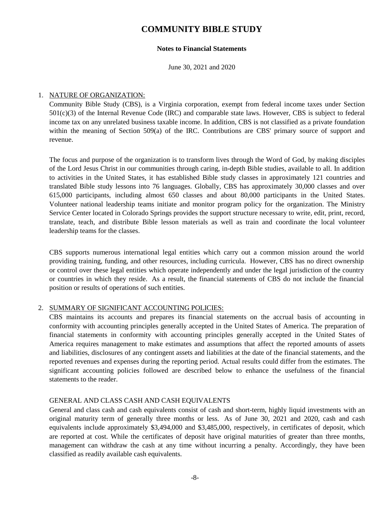### **Notes to Financial Statements**

June 30, 2021 and 2020

### 1. NATURE OF ORGANIZATION:

Community Bible Study (CBS), is a Virginia corporation, exempt from federal income taxes under Section 501(c)(3) of the Internal Revenue Code (IRC) and comparable state laws. However, CBS is subject to federal income tax on any unrelated business taxable income. In addition, CBS is not classified as a private foundation within the meaning of Section 509(a) of the IRC. Contributions are CBS' primary source of support and revenue.

The focus and purpose of the organization is to transform lives through the Word of God, by making disciples of the Lord Jesus Christ in our communities through caring, in-depth Bible studies, available to all. In addition to activities in the United States, it has established Bible study classes in approximately 121 countries and translated Bible study lessons into 76 languages. Globally, CBS has approximately 30,000 classes and over 615,000 participants, including almost 650 classes and about 80,000 participants in the United States. Volunteer national leadership teams initiate and monitor program policy for the organization. The Ministry Service Center located in Colorado Springs provides the support structure necessary to write, edit, print, record, translate, teach, and distribute Bible lesson materials as well as train and coordinate the local volunteer leadership teams for the classes.

CBS supports numerous international legal entities which carry out a common mission around the world providing training, funding, and other resources, including curricula. However, CBS has no direct ownership or control over these legal entities which operate independently and under the legal jurisdiction of the country or countries in which they reside. As a result, the financial statements of CBS do not include the financial position or results of operations of such entities.

### 2. SUMMARY OF SIGNIFICANT ACCOUNTING POLICIES:

CBS maintains its accounts and prepares its financial statements on the accrual basis of accounting in conformity with accounting principles generally accepted in the United States of America. The preparation of financial statements in conformity with accounting principles generally accepted in the United States of America requires management to make estimates and assumptions that affect the reported amounts of assets and liabilities, disclosures of any contingent assets and liabilities at the date of the financial statements, and the reported revenues and expenses during the reporting period. Actual results could differ from the estimates. The significant accounting policies followed are described below to enhance the usefulness of the financial statements to the reader.

#### GENERAL AND CLASS CASH AND CASH EQUIVALENTS

General and class cash and cash equivalents consist of cash and short-term, highly liquid investments with an original maturity term of generally three months or less. As of June 30, 2021 and 2020, cash and cash equivalents include approximately \$3,494,000 and \$3,485,000, respectively, in certificates of deposit, which are reported at cost. While the certificates of deposit have original maturities of greater than three months, management can withdraw the cash at any time without incurring a penalty. Accordingly, they have been classified as readily available cash equivalents.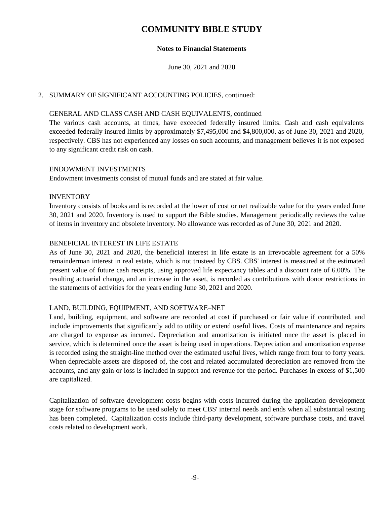### **Notes to Financial Statements**

June 30, 2021 and 2020

### 2. SUMMARY OF SIGNIFICANT ACCOUNTING POLICIES, continued:

#### GENERAL AND CLASS CASH AND CASH EQUIVALENTS, continued

The various cash accounts, at times, have exceeded federally insured limits. Cash and cash equivalents exceeded federally insured limits by approximately \$7,495,000 and \$4,800,000, as of June 30, 2021 and 2020, respectively. CBS has not experienced any losses on such accounts, and management believes it is not exposed to any significant credit risk on cash.

### ENDOWMENT INVESTMENTS

Endowment investments consist of mutual funds and are stated at fair value.

### **INVENTORY**

Inventory consists of books and is recorded at the lower of cost or net realizable value for the years ended June 30, 2021 and 2020. Inventory is used to support the Bible studies. Management periodically reviews the value of items in inventory and obsolete inventory. No allowance was recorded as of June 30, 2021 and 2020.

### BENEFICIAL INTEREST IN LIFE ESTATE

As of June 30, 2021 and 2020, the beneficial interest in life estate is an irrevocable agreement for a 50% remainderman interest in real estate, which is not trusteed by CBS. CBS' interest is measured at the estimated present value of future cash receipts, using approved life expectancy tables and a discount rate of 6.00%. The resulting actuarial change, and an increase in the asset, is recorded as contributions with donor restrictions in the statements of activities for the years ending June 30, 2021 and 2020.

### LAND, BUILDING, EQUIPMENT, AND SOFTWARE–NET

Land, building, equipment, and software are recorded at cost if purchased or fair value if contributed, and include improvements that significantly add to utility or extend useful lives. Costs of maintenance and repairs are charged to expense as incurred. Depreciation and amortization is initiated once the asset is placed in service, which is determined once the asset is being used in operations. Depreciation and amortization expense is recorded using the straight-line method over the estimated useful lives, which range from four to forty years. When depreciable assets are disposed of, the cost and related accumulated depreciation are removed from the accounts, and any gain or loss is included in support and revenue for the period. Purchases in excess of \$1,500 are capitalized.

Capitalization of software development costs begins with costs incurred during the application development stage for software programs to be used solely to meet CBS' internal needs and ends when all substantial testing has been completed. Capitalization costs include third-party development, software purchase costs, and travel costs related to development work.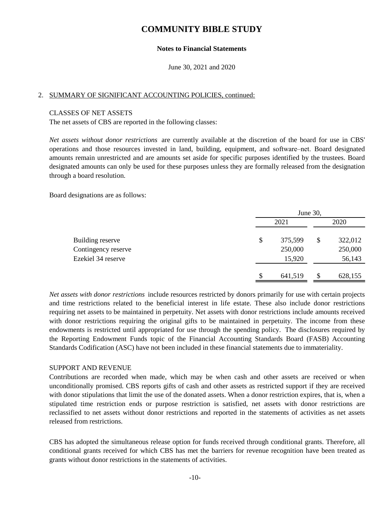#### **Notes to Financial Statements**

June 30, 2021 and 2020

### 2. SUMMARY OF SIGNIFICANT ACCOUNTING POLICIES, continued:

#### CLASSES OF NET ASSETS

The net assets of CBS are reported in the following classes:

*Net assets without donor restrictions* are currently available at the discretion of the board for use in CBS' operations and those resources invested in land, building, equipment, and software–net. Board designated amounts remain unrestricted and are amounts set aside for specific purposes identified by the trustees. Board designated amounts can only be used for these purposes unless they are formally released from the designation through a board resolution.

Board designations are as follows:

|                     |    | June 30, |      |         |  |  |  |  |  |
|---------------------|----|----------|------|---------|--|--|--|--|--|
|                     |    |          | 2020 |         |  |  |  |  |  |
| Building reserve    | \$ | 375,599  | \$   | 322,012 |  |  |  |  |  |
| Contingency reserve |    | 250,000  |      | 250,000 |  |  |  |  |  |
| Ezekiel 34 reserve  |    | 15,920   |      | 56,143  |  |  |  |  |  |
|                     | \$ | 641,519  | S    | 628,155 |  |  |  |  |  |

*Net assets with donor restrictions* include resources restricted by donors primarily for use with certain projects and time restrictions related to the beneficial interest in life estate. These also include donor restrictions requiring net assets to be maintained in perpetuity. Net assets with donor restrictions include amounts received with donor restrictions requiring the original gifts to be maintained in perpetuity. The income from these endowments is restricted until appropriated for use through the spending policy. The disclosures required by the Reporting Endowment Funds topic of the Financial Accounting Standards Board (FASB) Accounting Standards Codification (ASC) have not been included in these financial statements due to immateriality.

### SUPPORT AND REVENUE

Contributions are recorded when made, which may be when cash and other assets are received or when unconditionally promised. CBS reports gifts of cash and other assets as restricted support if they are received with donor stipulations that limit the use of the donated assets. When a donor restriction expires, that is, when a stipulated time restriction ends or purpose restriction is satisfied, net assets with donor restrictions are reclassified to net assets without donor restrictions and reported in the statements of activities as net assets released from restrictions.

CBS has adopted the simultaneous release option for funds received through conditional grants. Therefore, all conditional grants received for which CBS has met the barriers for revenue recognition have been treated as grants without donor restrictions in the statements of activities.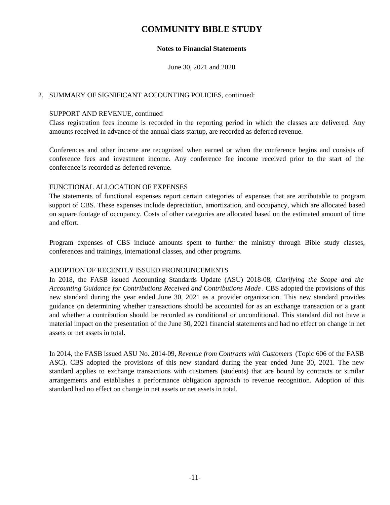#### **Notes to Financial Statements**

June 30, 2021 and 2020

### 2. SUMMARY OF SIGNIFICANT ACCOUNTING POLICIES, continued:

#### SUPPORT AND REVENUE, continued

Class registration fees income is recorded in the reporting period in which the classes are delivered. Any amounts received in advance of the annual class startup, are recorded as deferred revenue.

Conferences and other income are recognized when earned or when the conference begins and consists of conference fees and investment income. Any conference fee income received prior to the start of the conference is recorded as deferred revenue.

### FUNCTIONAL ALLOCATION OF EXPENSES

The statements of functional expenses report certain categories of expenses that are attributable to program support of CBS. These expenses include depreciation, amortization, and occupancy, which are allocated based on square footage of occupancy. Costs of other categories are allocated based on the estimated amount of time and effort.

Program expenses of CBS include amounts spent to further the ministry through Bible study classes, conferences and trainings, international classes, and other programs.

### ADOPTION OF RECENTLY ISSUED PRONOUNCEMENTS

In 2018, the FASB issued Accounting Standards Update (ASU) 2018-08, *Clarifying the Scope and the Accounting Guidance for Contributions Received and Contributions Made* . CBS adopted the provisions of this new standard during the year ended June 30, 2021 as a provider organization. This new standard provides guidance on determining whether transactions should be accounted for as an exchange transaction or a grant and whether a contribution should be recorded as conditional or unconditional. This standard did not have a material impact on the presentation of the June 30, 2021 financial statements and had no effect on change in net assets or net assets in total.

In 2014, the FASB issued ASU No. 2014-09, *Revenue from Contracts with Customers* (Topic 606 of the FASB ASC). CBS adopted the provisions of this new standard during the year ended June 30, 2021. The new standard applies to exchange transactions with customers (students) that are bound by contracts or similar arrangements and establishes a performance obligation approach to revenue recognition. Adoption of this standard had no effect on change in net assets or net assets in total.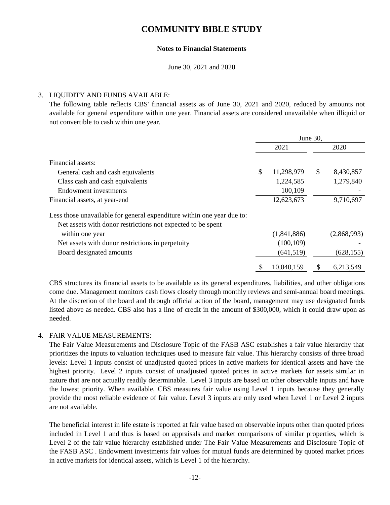### **Notes to Financial Statements**

June 30, 2021 and 2020

### 3. LIQUIDITY AND FUNDS AVAILABLE:

The following table reflects CBS' financial assets as of June 30, 2021 and 2020, reduced by amounts not available for general expenditure within one year. Financial assets are considered unavailable when illiquid or not convertible to cash within one year.

|                                                                        |    | 2021        |              | 2020        |
|------------------------------------------------------------------------|----|-------------|--------------|-------------|
| Financial assets:                                                      |    |             |              |             |
| General cash and cash equivalents                                      | \$ | 11,298,979  | $\mathbb{S}$ | 8,430,857   |
| Class cash and cash equivalents                                        |    | 1,224,585   |              | 1,279,840   |
| Endowment investments                                                  |    | 100,109     |              |             |
| Financial assets, at year-end                                          |    | 12,623,673  |              | 9,710,697   |
| Less those unavailable for general expenditure within one year due to: |    |             |              |             |
| Net assets with donor restrictions not expected to be spent            |    |             |              |             |
| within one year                                                        |    | (1,841,886) |              | (2,868,993) |
| Net assets with donor restrictions in perpetuity                       |    | (100, 109)  |              |             |
| Board designated amounts                                               |    | (641, 519)  |              | (628, 155)  |
|                                                                        | \$ | 10,040,159  | \$           | 6,213,549   |

CBS structures its financial assets to be available as its general expenditures, liabilities, and other obligations come due. Management monitors cash flows closely through monthly reviews and semi-annual board meetings. At the discretion of the board and through official action of the board, management may use designated funds listed above as needed. CBS also has a line of credit in the amount of \$300,000, which it could draw upon as needed.

#### 4. FAIR VALUE MEASUREMENTS:

The Fair Value Measurements and Disclosure Topic of the FASB ASC establishes a fair value hierarchy that prioritizes the inputs to valuation techniques used to measure fair value. This hierarchy consists of three broad levels: Level 1 inputs consist of unadjusted quoted prices in active markets for identical assets and have the highest priority. Level 2 inputs consist of unadjusted quoted prices in active markets for assets similar in nature that are not actually readily determinable. Level 3 inputs are based on other observable inputs and have the lowest priority. When available, CBS measures fair value using Level 1 inputs because they generally provide the most reliable evidence of fair value. Level 3 inputs are only used when Level 1 or Level 2 inputs are not available.

The beneficial interest in life estate is reported at fair value based on observable inputs other than quoted prices included in Level 1 and thus is based on appraisals and market comparisons of similar properties, which is Level 2 of the fair value hierarchy established under The Fair Value Measurements and Disclosure Topic of the FASB ASC . Endowment investments fair values for mutual funds are determined by quoted market prices in active markets for identical assets, which is Level 1 of the hierarchy.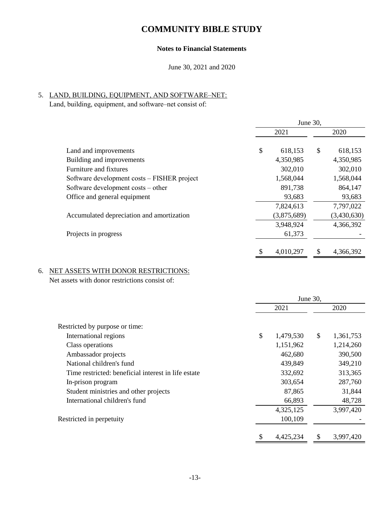### **Notes to Financial Statements**

June 30, 2021 and 2020

### 5. LAND, BUILDING, EQUIPMENT, AND SOFTWARE–NET:

Land, building, equipment, and software–net consist of:

|                                             |    | June 30,    |      |             |  |  |  |  |  |
|---------------------------------------------|----|-------------|------|-------------|--|--|--|--|--|
|                                             |    |             | 2020 |             |  |  |  |  |  |
|                                             |    |             |      |             |  |  |  |  |  |
| Land and improvements                       | \$ | 618,153     | \$   | 618,153     |  |  |  |  |  |
| Building and improvements                   |    | 4,350,985   |      | 4,350,985   |  |  |  |  |  |
| Furniture and fixtures                      |    | 302,010     |      | 302,010     |  |  |  |  |  |
| Software development costs - FISHER project |    | 1,568,044   |      | 1,568,044   |  |  |  |  |  |
| Software development costs – other          |    | 891,738     |      | 864,147     |  |  |  |  |  |
| Office and general equipment                |    | 93,683      |      | 93,683      |  |  |  |  |  |
|                                             |    | 7,824,613   |      | 7,797,022   |  |  |  |  |  |
| Accumulated depreciation and amortization   |    | (3,875,689) |      | (3,430,630) |  |  |  |  |  |
|                                             |    | 3,948,924   |      | 4,366,392   |  |  |  |  |  |
| Projects in progress                        |    | 61,373      |      |             |  |  |  |  |  |
|                                             |    | 4,010,297   |      | 4,366,392   |  |  |  |  |  |

### 6. NET ASSETS WITH DONOR RESTRICTIONS:

Net assets with donor restrictions consist of:

|                                                     | June 30, |           |    |           |  |
|-----------------------------------------------------|----------|-----------|----|-----------|--|
|                                                     | 2021     |           |    | 2020      |  |
| Restricted by purpose or time:                      |          |           |    |           |  |
| International regions                               | \$       | 1,479,530 | \$ | 1,361,753 |  |
| Class operations                                    |          | 1,151,962 |    | 1,214,260 |  |
| Ambassador projects                                 |          | 462,680   |    | 390,500   |  |
| National children's fund                            |          | 439,849   |    | 349,210   |  |
| Time restricted: beneficial interest in life estate |          | 332,692   |    | 313,365   |  |
| In-prison program                                   |          | 303,654   |    | 287,760   |  |
| Student ministries and other projects               |          | 87,865    |    | 31,844    |  |
| International children's fund                       |          | 66,893    |    | 48,728    |  |
|                                                     |          | 4,325,125 |    | 3,997,420 |  |
| Restricted in perpetuity                            |          | 100,109   |    |           |  |
|                                                     |          | 4,425,234 | S  | 3,997,420 |  |